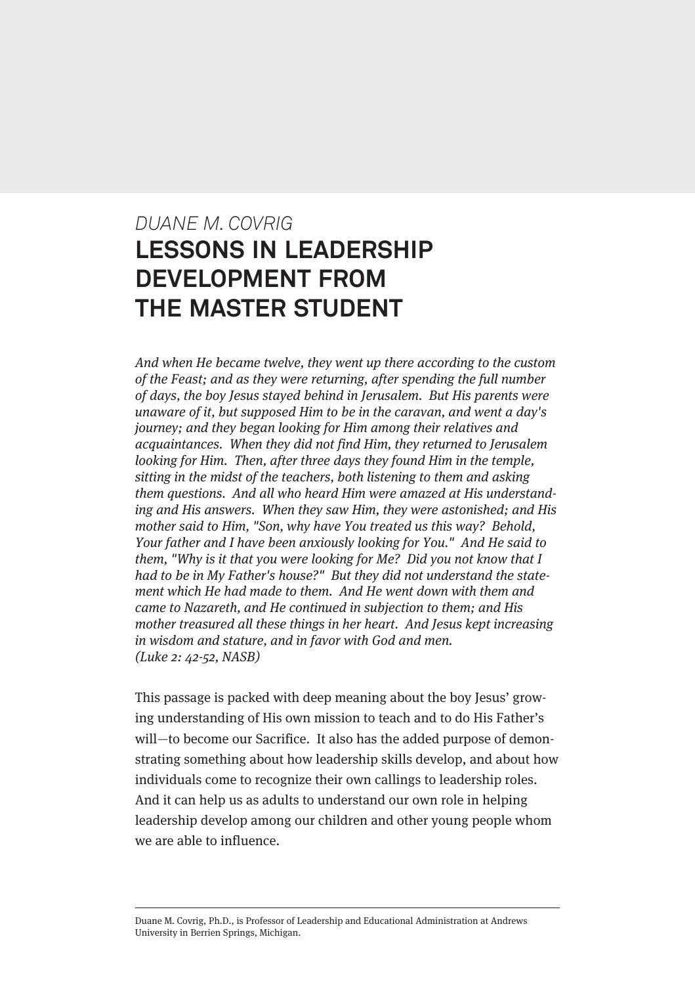# *DUANE M. COVRIG* **LESSONS IN LEADERSHIP DEVELOPMENT FROM THE MASTER STUDENT**

And when He became twelve, they went up there according to the custom of the Feast; and as they were returning, after spending the full number of days, the boy Jesus stayed behind in Jerusalem. But His parents were unaware of it, but supposed Him to be in the caravan, and went a day's journey; and they began looking for Him among their relatives and acquaintances. When they did not find Him, they returned to Jerusalem looking for Him. Then, after three days they found Him in the temple, sitting in the midst of the teachers, both listening to them and asking them questions. And all who heard Him were amazed at His understanding and His answers. When they saw Him, they were astonished; and His mother said to Him, "Son, why have You treated us this way? Behold, Your father and I have been anxiously looking for You." And He said to them, "Why is it that you were looking for Me? Did you not know that I had to be in My Father's house?" But they did not understand the statement which He had made to them. And He went down with them and came to Nazareth, and He continued in subjection to them; and His mother treasured all these things in her heart. And Jesus kept increasing in wisdom and stature, and in favor with God and men. (Luke 2: 42-52, NASB)

This passage is packed with deep meaning about the boy Jesus' growing understanding of His own mission to teach and to do His Father's will—to become our Sacrifice. It also has the added purpose of demonstrating something about how leadership skills develop, and about how individuals come to recognize their own callings to leadership roles. And it can help us as adults to understand our own role in helping leadership develop among our children and other young people whom we are able to influence.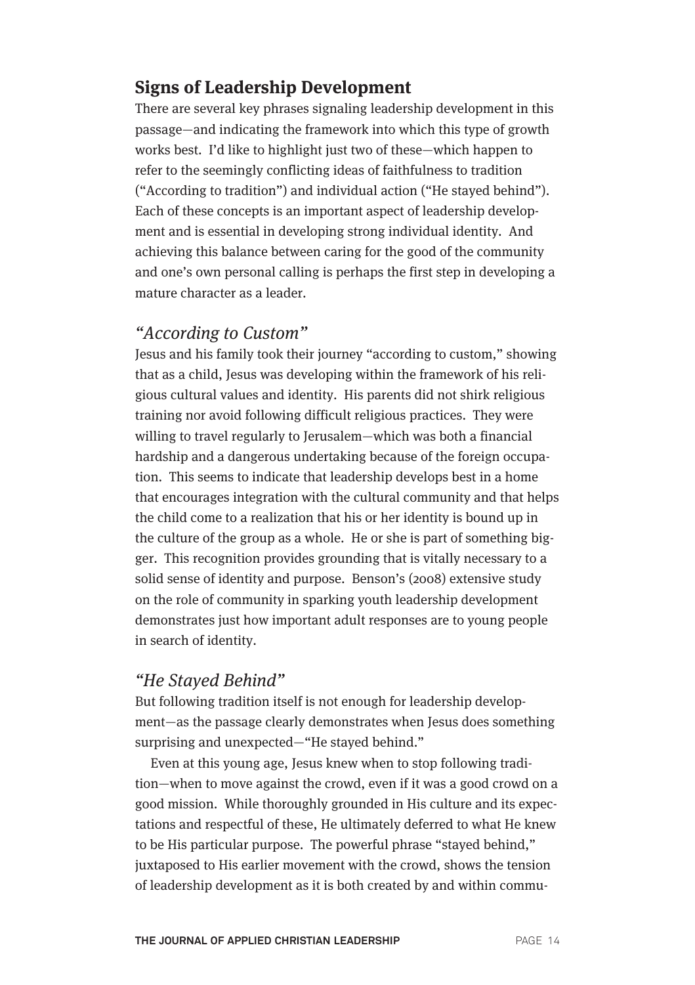## **Signs of Leadership Development**

There are several key phrases signaling leadership development in this passage—and indicating the framework into which this type of growth works best. I'd like to highlight just two of these—which happen to refer to the seemingly conflicting ideas of faithfulness to tradition ("According to tradition") and individual action ("He stayed behind"). Each of these concepts is an important aspect of leadership development and is essential in developing strong individual identity. And achieving this balance between caring for the good of the community and one's own personal calling is perhaps the first step in developing a mature character as a leader.

## "According to Custom"

Jesus and his family took their journey "according to custom," showing that as a child, Jesus was developing within the framework of his religious cultural values and identity. His parents did not shirk religious training nor avoid following difficult religious practices. They were willing to travel regularly to Jerusalem—which was both a financial hardship and a dangerous undertaking because of the foreign occupation. This seems to indicate that leadership develops best in a home that encourages integration with the cultural community and that helps the child come to a realization that his or her identity is bound up in the culture of the group as a whole. He or she is part of something bigger. This recognition provides grounding that is vitally necessary to a solid sense of identity and purpose. Benson's (2008) extensive study on the role of community in sparking youth leadership development demonstrates just how important adult responses are to young people in search of identity.

## "He Stayed Behind"

But following tradition itself is not enough for leadership development—as the passage clearly demonstrates when Jesus does something surprising and unexpected—"He stayed behind."

Even at this young age, Jesus knew when to stop following tradition—when to move against the crowd, even if it was a good crowd on a good mission. While thoroughly grounded in His culture and its expectations and respectful of these, He ultimately deferred to what He knew to be His particular purpose. The powerful phrase "stayed behind," juxtaposed to His earlier movement with the crowd, shows the tension of leadership development as it is both created by and within commu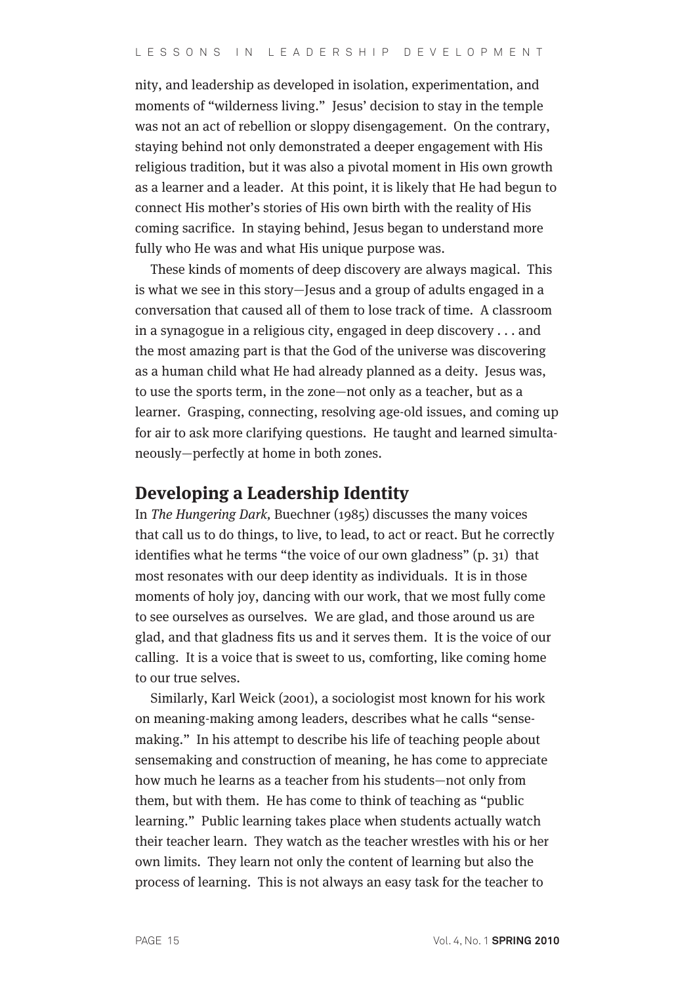nity, and leadership as developed in isolation, experimentation, and moments of "wilderness living." Jesus' decision to stay in the temple was not an act of rebellion or sloppy disengagement. On the contrary, staying behind not only demonstrated a deeper engagement with His religious tradition, but it was also a pivotal moment in His own growth as a learner and a leader. At this point, it is likely that He had begun to connect His mother's stories of His own birth with the reality of His coming sacrifice. In staying behind, Jesus began to understand more fully who He was and what His unique purpose was.

These kinds of moments of deep discovery are always magical. This is what we see in this story—Jesus and a group of adults engaged in a conversation that caused all of them to lose track of time. A classroom in a synagogue in a religious city, engaged in deep discovery . . . and the most amazing part is that the God of the universe was discovering as a human child what He had already planned as a deity. Jesus was, to use the sports term, in the zone—not only as a teacher, but as a learner. Grasping, connecting, resolving age-old issues, and coming up for air to ask more clarifying questions. He taught and learned simultaneously—perfectly at home in both zones.

#### **Developing a Leadership Identity**

In The Hungering Dark, Buechner (1985) discusses the many voices that call us to do things, to live, to lead, to act or react. But he correctly identifies what he terms "the voice of our own gladness" (p. 31) that most resonates with our deep identity as individuals. It is in those moments of holy joy, dancing with our work, that we most fully come to see ourselves as ourselves. We are glad, and those around us are glad, and that gladness fits us and it serves them. It is the voice of our calling. It is a voice that is sweet to us, comforting, like coming home to our true selves.

Similarly, Karl Weick (2001), a sociologist most known for his work on meaning-making among leaders, describes what he calls "sensemaking." In his attempt to describe his life of teaching people about sensemaking and construction of meaning, he has come to appreciate how much he learns as a teacher from his students—not only from them, but with them. He has come to think of teaching as "public learning." Public learning takes place when students actually watch their teacher learn. They watch as the teacher wrestles with his or her own limits. They learn not only the content of learning but also the process of learning. This is not always an easy task for the teacher to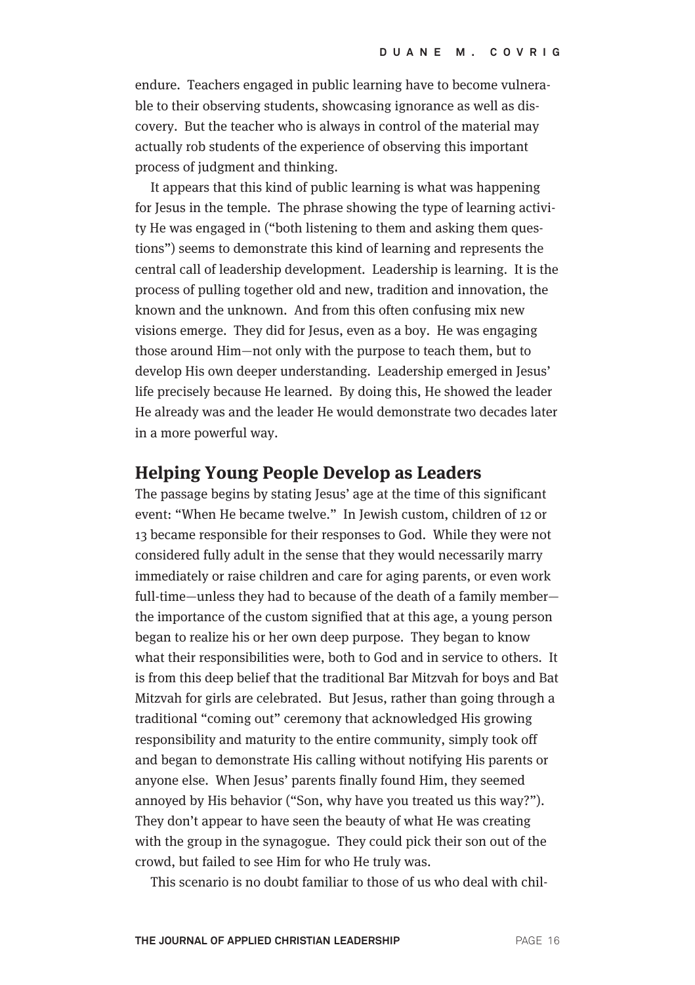endure. Teachers engaged in public learning have to become vulnerable to their observing students, showcasing ignorance as well as discovery. But the teacher who is always in control of the material may actually rob students of the experience of observing this important process of judgment and thinking.

It appears that this kind of public learning is what was happening for Jesus in the temple. The phrase showing the type of learning activity He was engaged in ("both listening to them and asking them questions") seems to demonstrate this kind of learning and represents the central call of leadership development. Leadership is learning. It is the process of pulling together old and new, tradition and innovation, the known and the unknown. And from this often confusing mix new visions emerge. They did for Jesus, even as a boy. He was engaging those around Him—not only with the purpose to teach them, but to develop His own deeper understanding. Leadership emerged in Jesus' life precisely because He learned. By doing this, He showed the leader He already was and the leader He would demonstrate two decades later in a more powerful way.

#### **Helping Young People Develop as Leaders**

The passage begins by stating Jesus' age at the time of this significant event: "When He became twelve." In Jewish custom, children of 12 or 13 became responsible for their responses to God. While they were not considered fully adult in the sense that they would necessarily marry immediately or raise children and care for aging parents, or even work full-time—unless they had to because of the death of a family member the importance of the custom signified that at this age, a young person began to realize his or her own deep purpose. They began to know what their responsibilities were, both to God and in service to others. It is from this deep belief that the traditional Bar Mitzvah for boys and Bat Mitzvah for girls are celebrated. But Jesus, rather than going through a traditional "coming out" ceremony that acknowledged His growing responsibility and maturity to the entire community, simply took off and began to demonstrate His calling without notifying His parents or anyone else. When Jesus' parents finally found Him, they seemed annoyed by His behavior ("Son, why have you treated us this way?"). They don't appear to have seen the beauty of what He was creating with the group in the synagogue. They could pick their son out of the crowd, but failed to see Him for who He truly was.

This scenario is no doubt familiar to those of us who deal with chil-